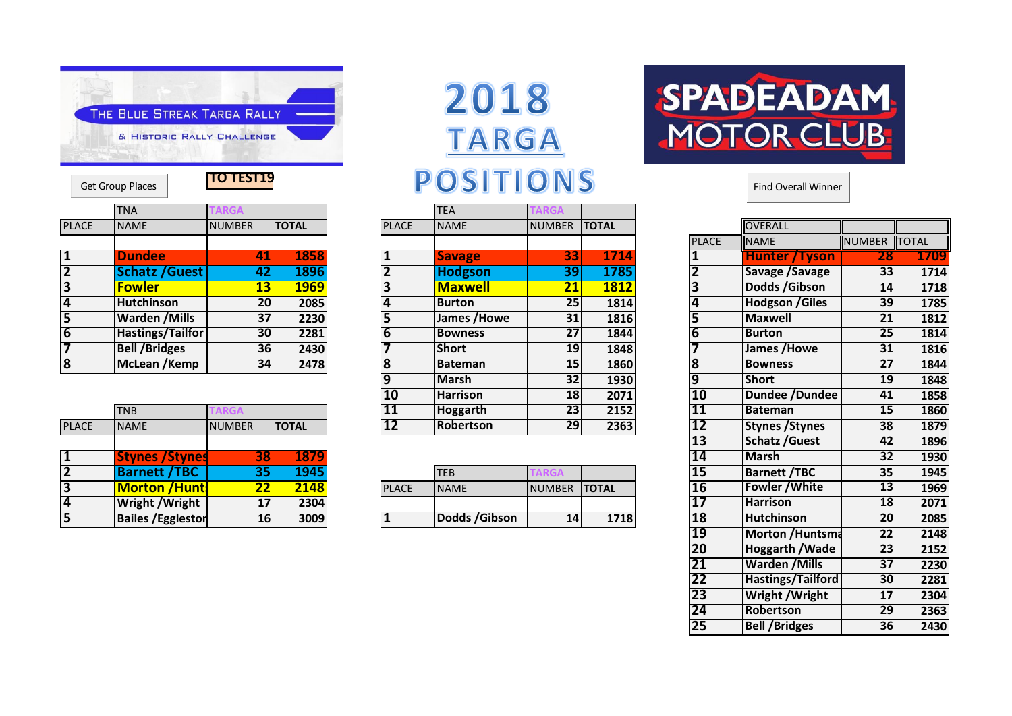

|                         | <b>Get Group Places</b> | <b>TO TEST19</b> |              |                | POSITION       |              |
|-------------------------|-------------------------|------------------|--------------|----------------|----------------|--------------|
|                         | <b>TNA</b>              | <b>TARGA</b>     |              |                | <b>TEA</b>     | <b>TARGA</b> |
| <b>PLACE</b>            | <b>NAME</b>             | <b>NUMBER</b>    | <b>TOTAL</b> | <b>PLACE</b>   | <b>NAME</b>    | <b>NUMB</b>  |
|                         |                         |                  |              |                |                |              |
|                         | <b>Dundee</b>           | 41               | 1858         |                | <b>Savage</b>  |              |
| $\overline{2}$          | <b>Schatz / Guest</b>   | 42               | 1896         |                | <b>Hodgson</b> |              |
| 3                       | <b>Fowler</b>           | 13               | <b>1969</b>  | 3              | <b>Maxwell</b> |              |
| 4                       | <b>Hutchinson</b>       | 20               | 2085         | 4              | <b>Burton</b>  |              |
| 5                       | <b>Warden /Mills</b>    | 37               | 2230         | 5              | James /Howe    |              |
| $\overline{6}$          | <b>Hastings/Tailfor</b> | 30               | 2281         | $\overline{6}$ | <b>Bowness</b> |              |
|                         | <b>Bell /Bridges</b>    | 36               | 2430         |                | <b>Short</b>   |              |
| $\overline{\mathbf{8}}$ | McLean /Kemp            | 34               | 2478         | <b>R</b>       | <b>Bateman</b> |              |

|                         |                           |               |               | $ -$         | .                |               | ----         | --        | ---------------        |                 |  |
|-------------------------|---------------------------|---------------|---------------|--------------|------------------|---------------|--------------|-----------|------------------------|-----------------|--|
|                         | <b>TNB</b>                |               |               | 111          | Hoggarth         | 23            | 2152         |           | Bateman                | 15 <sub>l</sub> |  |
| <b>PLACE</b>            | <b>NAME</b>               | <b>NUMBER</b> | <b>ITOTAL</b> | 12           | <b>Robertson</b> | 29            | 2363         | 12        | <b>Stynes / Stynes</b> | <b>38</b>       |  |
|                         |                           |               |               |              |                  |               |              | 13        | Schatz / Guest         | 42I             |  |
|                         | <b>Stynes / Stynes</b>    |               | 1879          |              |                  |               |              | 14        | <b>Marsh</b>           | 32              |  |
| $\overline{2}$          | <b>Barnett /TBC</b>       |               | 1945          |              | <b>TEB</b>       |               |              | כב        | <b>Barnett /TBC</b>    | 35              |  |
| 3                       | <b>Morton /Hunts</b>      |               | 2148          | <b>PLACE</b> | <b>NAME</b>      | <b>NUMBER</b> | <b>TOTAL</b> | <b>16</b> | <b>Fowler / White</b>  | 13              |  |
| $\overline{\mathbf{4}}$ | <b>Wright / Wright</b>    |               | 2304          |              |                  |               |              |           | <b>Harrison</b>        | <b>18</b>       |  |
| 5                       | <b>Bailes / Egglestor</b> | 16            | 3009          |              | Dodds / Gibson   | 14            | 1718         | 18        | <b>Hutchinson</b>      | <b>20</b>       |  |
|                         |                           |               |               |              |                  |               |              |           |                        |                 |  |

## **TARGA** POSITIONS Find Overall Winner

|                         | <b>TNA</b>            | ARGA          |              |                 | <b>TEA</b>       | <b>ARGA</b>     |              |              |                        |                 |
|-------------------------|-----------------------|---------------|--------------|-----------------|------------------|-----------------|--------------|--------------|------------------------|-----------------|
| <b>PLACE</b>            | <b>NAME</b>           | <b>NUMBER</b> | <b>TOTAL</b> | <b>PLACE</b>    | <b>NAME</b>      | <b>NUMBER</b>   | <b>TOTAL</b> |              | <b>OVERALL</b>         |                 |
|                         |                       |               |              |                 |                  |                 |              | <b>PLACE</b> | <b>NAME</b>            | <b>NUMBER</b>   |
|                         | <b>Dundee</b>         | 41            | 1858         |                 | <b>Savage</b>    | 331             | 1714         |              | <b>Hunter /Tyson</b>   | 28              |
|                         | <b>Schatz / Guest</b> | 42            | 1896         |                 | Hodgson          | 39              | 1785         |              | Savage /Savage         | 33              |
|                         | <b>Fowler</b>         | 13            | <b>1969</b>  |                 | <b>Maxwell</b>   | 21              | 1812         |              | Dodds / Gibson         | 14              |
|                         | <b>Hutchinson</b>     | 20            | 2085         |                 | <b>Burton</b>    | 25              | 1814         |              | <b>Hodgson /Giles</b>  | 39              |
|                         | <b>Warden /Mills</b>  | 37            | 2230         |                 | James / Howe     | 31              | 1816         |              | <b>Maxwell</b>         | 21              |
| $\overline{\mathbf{6}}$ | Hastings/Tailfor      | 30            | 2281         |                 | Bowness          | 27              | 1844         |              | <b>Burton</b>          | 25 <sub>1</sub> |
|                         | <b>Bell /Bridges</b>  | <b>36</b>     | 2430         |                 | <b>Short</b>     | 19 <sup>l</sup> | 1848         |              | James /Howe            | 31              |
| 8                       | McLean /Kemp          | 34            | 2478         |                 | <b>Bateman</b>   | 15 <sup>1</sup> | 1860         |              | <b>Bowness</b>         | 27              |
|                         |                       |               |              |                 | Marsh            | 32 <sub>l</sub> | 1930         |              | Short                  | 19              |
|                         |                       |               |              | 10              | <b>Harrison</b>  | <b>18</b>       | 2071         | <b>10</b>    | Dundee /Dundee         | 41              |
|                         | <b>TNB</b>            | <b>ARGA</b>   |              | 11              | <b>Hoggarth</b>  | 23              | 2152         | <b>11</b>    | Bateman                | 15 <sub>l</sub> |
| <b>PLACE</b>            | <b>NAME</b>           | <b>NUMBER</b> | <b>TOTAL</b> | $\overline{12}$ | <b>Robertson</b> | 29              | 2363         | 12           | <b>Stynes / Stynes</b> | 38              |
|                         |                       |               |              |                 |                  |                 |              |              |                        |                 |

| /ТВС                      |                                 | 1 Q A E |              | TEB            |               |      | --- | <b>Barnett /TBC</b>   | 35 <sub>1</sub> | 1945 |
|---------------------------|---------------------------------|---------|--------------|----------------|---------------|------|-----|-----------------------|-----------------|------|
| <b>Morton /Huntl</b>      | $\overline{\phantom{a}}$<br>- - | 2148    | <b>PLACE</b> | <b>NAME</b>    | INUMBER TOTAL |      | TU  | <b>Fowler / White</b> | 13 <sup>1</sup> | 1969 |
| <b>Wright / Wright</b>    | 17                              | 2304    |              |                |               |      |     | <b>Harrison</b>       | 18              | 2071 |
| <b>Bailes / Egglestor</b> | 16                              | 3009    |              | Dodds / Gibson |               | 1718 | JО  | <b>Hutchinson</b>     | 20              | 2085 |



| <b>PLACE</b>            | <b>NAME</b>     | <b>NUMBER</b>   | <b>ITOTAL</b> |                         | <b>OVERALL</b>         |                 |              |
|-------------------------|-----------------|-----------------|---------------|-------------------------|------------------------|-----------------|--------------|
|                         |                 |                 |               | <b>PLACE</b>            | <b>NAME</b>            | <b>NUMBER</b>   | <b>TOTAL</b> |
| 1                       | <b>Savage</b>   | 33              | 1714          | 1                       | <b>Hunter / Tyson</b>  | 28              | 1709         |
| $\overline{\mathbf{2}}$ | <b>Hodgson</b>  | 39              | 1785          | $\overline{\mathbf{2}}$ | Savage /Savage         | 33              | 1714         |
| 3                       | <b>Maxwell</b>  | <u> 21</u>      | <b>1812</b>   | 3                       | Dodds / Gibson         | $\overline{14}$ | 1718         |
| 4                       | <b>Burton</b>   | $\overline{25}$ | 1814          | 4                       | <b>Hodgson /Giles</b>  | 39              | 1785         |
| 5                       | James /Howe     | $\overline{31}$ | 1816          | 5                       | <b>Maxwell</b>         | 21              | 1812         |
| $\overline{6}$          | <b>Bowness</b>  | 27              | 1844          | $\overline{\mathbf{6}}$ | <b>Burton</b>          | 25              | 1814         |
| 7                       | <b>Short</b>    | 19              | 1848          | 7                       | James / Howe           | 31              | 1816         |
| $\overline{\mathbf{8}}$ | <b>Bateman</b>  | $\overline{15}$ | 1860          | $\overline{\mathbf{8}}$ | <b>Bowness</b>         | $\overline{27}$ | 1844         |
| $\overline{9}$          | <b>Marsh</b>    | 32              | 1930          | 9                       | <b>Short</b>           | 19              | 1848         |
| 10                      | <b>Harrison</b> | 18              | 2071          | 10                      | Dundee /Dundee         | 41              | 1858         |
| $\overline{11}$         | <b>Hoggarth</b> | 23              | 2152          | 11                      | <b>Bateman</b>         | 15              | 1860         |
| $\overline{12}$         | Robertson       | 29              | 2363          | 12                      | <b>Stynes / Stynes</b> | 38              | 1879         |
|                         |                 |                 |               | 13                      | <b>Schatz / Guest</b>  | 42              | 1896         |
|                         |                 |                 |               | 14                      | <b>Marsh</b>           | 32              | 1930         |
|                         | <b>TEB</b>      | <b>TARGA</b>    |               | 15                      | <b>Barnett /TBC</b>    | $\overline{35}$ | 1945         |
| <b>PLACE</b>            | <b>NAME</b>     | <b>NUMBER</b>   | <b>TOTAL</b>  | 16                      | <b>Fowler / White</b>  | 13              | 1969         |
|                         |                 |                 |               | 17                      | <b>Harrison</b>        | 18              | 2071         |
| $\overline{\mathbf{1}}$ | Dodds / Gibson  | 14              | 1718          | 18                      | <b>Hutchinson</b>      | 20              | 2085         |
|                         |                 |                 |               | 19                      | Morton / Huntsma       | $\overline{22}$ | 2148         |
|                         |                 |                 |               | 20                      | <b>Hoggarth / Wade</b> | 23              | 2152         |
|                         |                 |                 |               | 21                      | <b>Warden /Mills</b>   | $\overline{37}$ | 2230         |
|                         |                 |                 |               | $\overline{22}$         | Hastings/Tailford      | 30              | 2281         |
|                         |                 |                 |               | $\overline{23}$         | Wright / Wright        | 17              | 2304         |
|                         |                 |                 |               | 24                      | Robertson              | 29              | 2363         |
|                         |                 |                 |               | 25                      | <b>Bell /Bridges</b>   | 36              | 2430         |
|                         |                 |                 |               |                         |                        |                 |              |